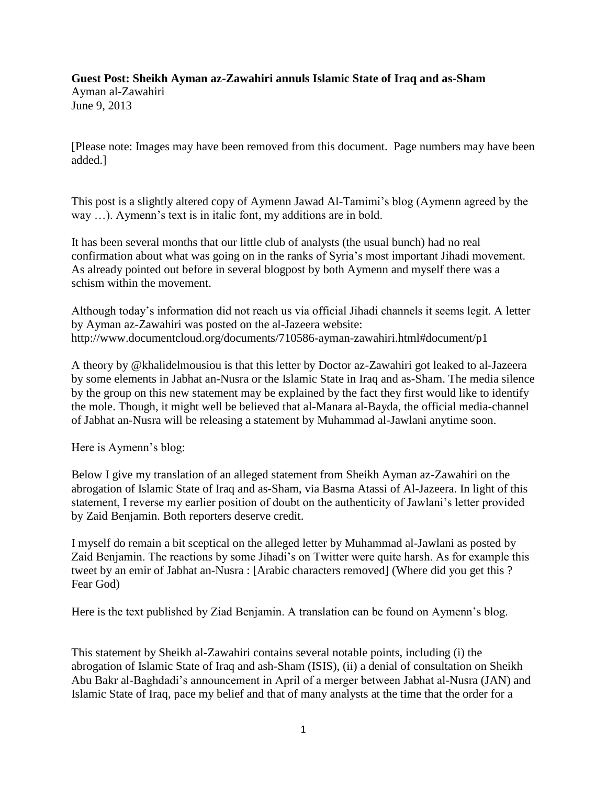## **Guest Post: Sheikh Ayman az-Zawahiri annuls Islamic State of Iraq and as-Sham**

Ayman al-Zawahiri June 9, 2013

[Please note: Images may have been removed from this document. Page numbers may have been added.]

This post is a slightly altered copy of Aymenn Jawad Al-Tamimi's blog (Aymenn agreed by the way …). Aymenn's text is in italic font, my additions are in bold.

It has been several months that our little club of analysts (the usual bunch) had no real confirmation about what was going on in the ranks of Syria's most important Jihadi movement. As already pointed out before in several blogpost by both Aymenn and myself there was a schism within the movement.

Although today's information did not reach us via official Jihadi channels it seems legit. A letter by Ayman az-Zawahiri was posted on the al-Jazeera website: http://www.documentcloud.org/documents/710586-ayman-zawahiri.html#document/p1

A theory by @khalidelmousiou is that this letter by Doctor az-Zawahiri got leaked to al-Jazeera by some elements in Jabhat an-Nusra or the Islamic State in Iraq and as-Sham. The media silence by the group on this new statement may be explained by the fact they first would like to identify the mole. Though, it might well be believed that al-Manara al-Bayda, the official media-channel of Jabhat an-Nusra will be releasing a statement by Muhammad al-Jawlani anytime soon.

Here is Aymenn's blog:

Below I give my translation of an alleged statement from Sheikh Ayman az-Zawahiri on the abrogation of Islamic State of Iraq and as-Sham, via Basma Atassi of Al-Jazeera. In light of this statement, I reverse my earlier position of doubt on the authenticity of Jawlani's letter provided by Zaid Benjamin. Both reporters deserve credit.

I myself do remain a bit sceptical on the alleged letter by Muhammad al-Jawlani as posted by Zaid Benjamin. The reactions by some Jihadi's on Twitter were quite harsh. As for example this tweet by an emir of Jabhat an-Nusra : [Arabic characters removed] (Where did you get this ? Fear God)

Here is the text published by Ziad Benjamin. A translation can be found on Aymenn's blog.

This statement by Sheikh al-Zawahiri contains several notable points, including (i) the abrogation of Islamic State of Iraq and ash-Sham (ISIS), (ii) a denial of consultation on Sheikh Abu Bakr al-Baghdadi's announcement in April of a merger between Jabhat al-Nusra (JAN) and Islamic State of Iraq, pace my belief and that of many analysts at the time that the order for a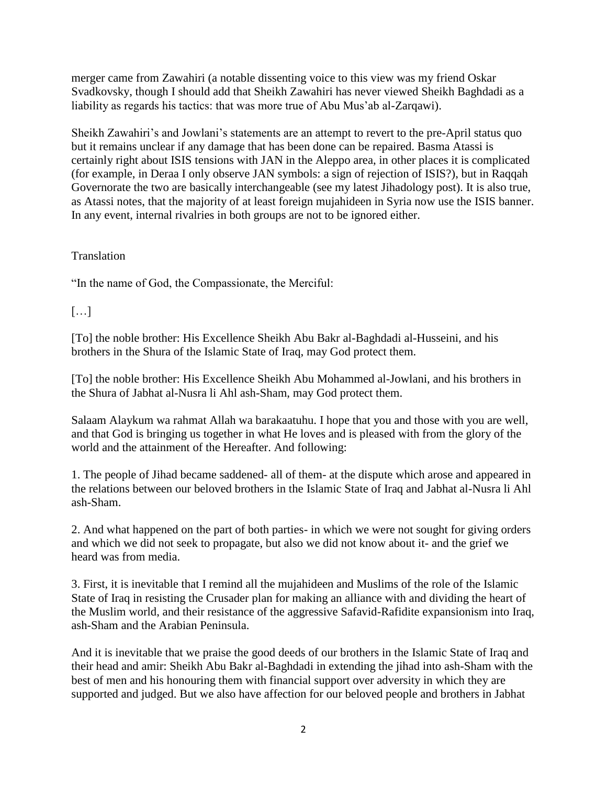merger came from Zawahiri (a notable dissenting voice to this view was my friend Oskar Svadkovsky, though I should add that Sheikh Zawahiri has never viewed Sheikh Baghdadi as a liability as regards his tactics: that was more true of Abu Mus'ab al-Zarqawi).

Sheikh Zawahiri's and Jowlani's statements are an attempt to revert to the pre-April status quo but it remains unclear if any damage that has been done can be repaired. Basma Atassi is certainly right about ISIS tensions with JAN in the Aleppo area, in other places it is complicated (for example, in Deraa I only observe JAN symbols: a sign of rejection of ISIS?), but in Raqqah Governorate the two are basically interchangeable (see my latest Jihadology post). It is also true, as Atassi notes, that the majority of at least foreign mujahideen in Syria now use the ISIS banner. In any event, internal rivalries in both groups are not to be ignored either.

## **Translation**

"In the name of God, the Compassionate, the Merciful:

## $\lceil \dots \rceil$

[To] the noble brother: His Excellence Sheikh Abu Bakr al-Baghdadi al-Husseini, and his brothers in the Shura of the Islamic State of Iraq, may God protect them.

[To] the noble brother: His Excellence Sheikh Abu Mohammed al-Jowlani, and his brothers in the Shura of Jabhat al-Nusra li Ahl ash-Sham, may God protect them.

Salaam Alaykum wa rahmat Allah wa barakaatuhu. I hope that you and those with you are well, and that God is bringing us together in what He loves and is pleased with from the glory of the world and the attainment of the Hereafter. And following:

1. The people of Jihad became saddened- all of them- at the dispute which arose and appeared in the relations between our beloved brothers in the Islamic State of Iraq and Jabhat al-Nusra li Ahl ash-Sham.

2. And what happened on the part of both parties- in which we were not sought for giving orders and which we did not seek to propagate, but also we did not know about it- and the grief we heard was from media.

3. First, it is inevitable that I remind all the mujahideen and Muslims of the role of the Islamic State of Iraq in resisting the Crusader plan for making an alliance with and dividing the heart of the Muslim world, and their resistance of the aggressive Safavid-Rafidite expansionism into Iraq, ash-Sham and the Arabian Peninsula.

And it is inevitable that we praise the good deeds of our brothers in the Islamic State of Iraq and their head and amir: Sheikh Abu Bakr al-Baghdadi in extending the jihad into ash-Sham with the best of men and his honouring them with financial support over adversity in which they are supported and judged. But we also have affection for our beloved people and brothers in Jabhat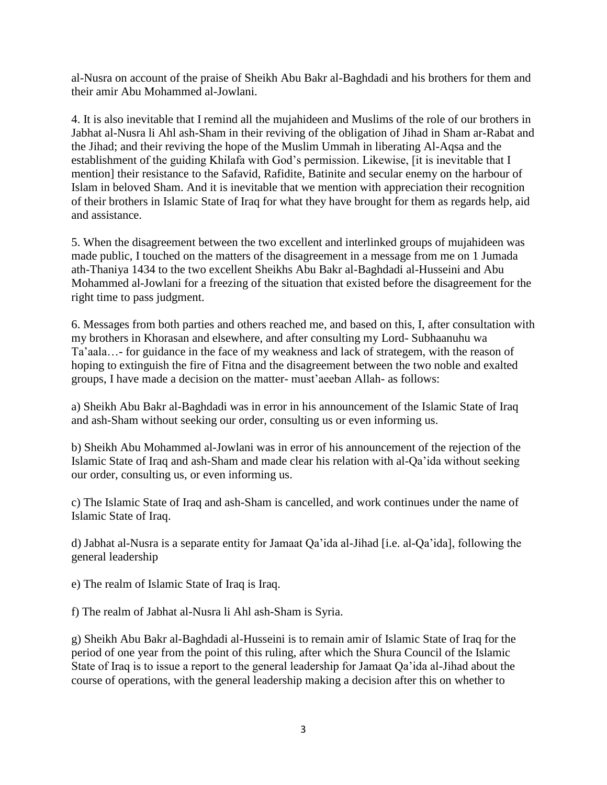al-Nusra on account of the praise of Sheikh Abu Bakr al-Baghdadi and his brothers for them and their amir Abu Mohammed al-Jowlani.

4. It is also inevitable that I remind all the mujahideen and Muslims of the role of our brothers in Jabhat al-Nusra li Ahl ash-Sham in their reviving of the obligation of Jihad in Sham ar-Rabat and the Jihad; and their reviving the hope of the Muslim Ummah in liberating Al-Aqsa and the establishment of the guiding Khilafa with God's permission. Likewise, [it is inevitable that I mention] their resistance to the Safavid, Rafidite, Batinite and secular enemy on the harbour of Islam in beloved Sham. And it is inevitable that we mention with appreciation their recognition of their brothers in Islamic State of Iraq for what they have brought for them as regards help, aid and assistance.

5. When the disagreement between the two excellent and interlinked groups of mujahideen was made public, I touched on the matters of the disagreement in a message from me on 1 Jumada ath-Thaniya 1434 to the two excellent Sheikhs Abu Bakr al-Baghdadi al-Husseini and Abu Mohammed al-Jowlani for a freezing of the situation that existed before the disagreement for the right time to pass judgment.

6. Messages from both parties and others reached me, and based on this, I, after consultation with my brothers in Khorasan and elsewhere, and after consulting my Lord- Subhaanuhu wa Ta'aala…- for guidance in the face of my weakness and lack of strategem, with the reason of hoping to extinguish the fire of Fitna and the disagreement between the two noble and exalted groups, I have made a decision on the matter- must'aeeban Allah- as follows:

a) Sheikh Abu Bakr al-Baghdadi was in error in his announcement of the Islamic State of Iraq and ash-Sham without seeking our order, consulting us or even informing us.

b) Sheikh Abu Mohammed al-Jowlani was in error of his announcement of the rejection of the Islamic State of Iraq and ash-Sham and made clear his relation with al-Qa'ida without seeking our order, consulting us, or even informing us.

c) The Islamic State of Iraq and ash-Sham is cancelled, and work continues under the name of Islamic State of Iraq.

d) Jabhat al-Nusra is a separate entity for Jamaat Qa'ida al-Jihad [i.e. al-Qa'ida], following the general leadership

e) The realm of Islamic State of Iraq is Iraq.

f) The realm of Jabhat al-Nusra li Ahl ash-Sham is Syria.

g) Sheikh Abu Bakr al-Baghdadi al-Husseini is to remain amir of Islamic State of Iraq for the period of one year from the point of this ruling, after which the Shura Council of the Islamic State of Iraq is to issue a report to the general leadership for Jamaat Qa'ida al-Jihad about the course of operations, with the general leadership making a decision after this on whether to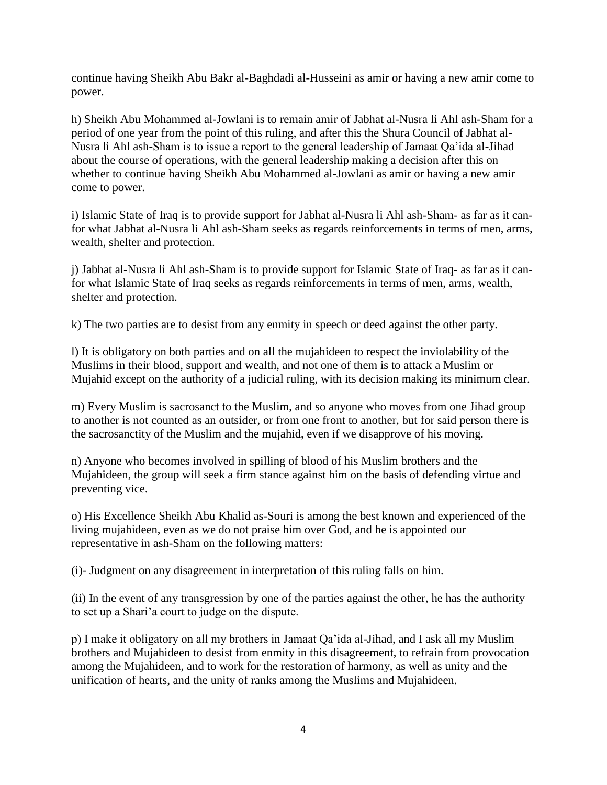continue having Sheikh Abu Bakr al-Baghdadi al-Husseini as amir or having a new amir come to power.

h) Sheikh Abu Mohammed al-Jowlani is to remain amir of Jabhat al-Nusra li Ahl ash-Sham for a period of one year from the point of this ruling, and after this the Shura Council of Jabhat al-Nusra li Ahl ash-Sham is to issue a report to the general leadership of Jamaat Qa'ida al-Jihad about the course of operations, with the general leadership making a decision after this on whether to continue having Sheikh Abu Mohammed al-Jowlani as amir or having a new amir come to power.

i) Islamic State of Iraq is to provide support for Jabhat al-Nusra li Ahl ash-Sham- as far as it canfor what Jabhat al-Nusra li Ahl ash-Sham seeks as regards reinforcements in terms of men, arms, wealth, shelter and protection.

j) Jabhat al-Nusra li Ahl ash-Sham is to provide support for Islamic State of Iraq- as far as it canfor what Islamic State of Iraq seeks as regards reinforcements in terms of men, arms, wealth, shelter and protection.

k) The two parties are to desist from any enmity in speech or deed against the other party.

l) It is obligatory on both parties and on all the mujahideen to respect the inviolability of the Muslims in their blood, support and wealth, and not one of them is to attack a Muslim or Mujahid except on the authority of a judicial ruling, with its decision making its minimum clear.

m) Every Muslim is sacrosanct to the Muslim, and so anyone who moves from one Jihad group to another is not counted as an outsider, or from one front to another, but for said person there is the sacrosanctity of the Muslim and the mujahid, even if we disapprove of his moving.

n) Anyone who becomes involved in spilling of blood of his Muslim brothers and the Mujahideen, the group will seek a firm stance against him on the basis of defending virtue and preventing vice.

o) His Excellence Sheikh Abu Khalid as-Souri is among the best known and experienced of the living mujahideen, even as we do not praise him over God, and he is appointed our representative in ash-Sham on the following matters:

(i)- Judgment on any disagreement in interpretation of this ruling falls on him.

(ii) In the event of any transgression by one of the parties against the other, he has the authority to set up a Shari'a court to judge on the dispute.

p) I make it obligatory on all my brothers in Jamaat Qa'ida al-Jihad, and I ask all my Muslim brothers and Mujahideen to desist from enmity in this disagreement, to refrain from provocation among the Mujahideen, and to work for the restoration of harmony, as well as unity and the unification of hearts, and the unity of ranks among the Muslims and Mujahideen.